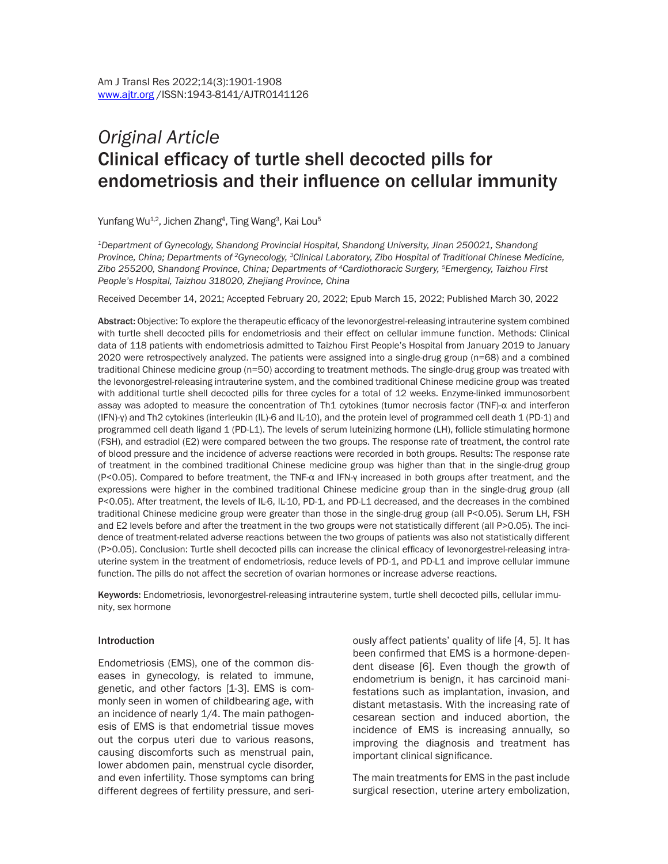# *Original Article* Clinical efficacy of turtle shell decocted pills for endometriosis and their influence on cellular immunity

Yunfang Wu $^\text{1,2}$ , Jichen Zhang $^\text{4}$ , Ting Wang $^\text{3}$ , Kai Lou $^\text{5}$ 

*1Department of Gynecology, Shandong Provincial Hospital, Shandong University, Jinan 250021, Shandong Province, China; Departments of 2Gynecology, 3Clinical Laboratory, Zibo Hospital of Traditional Chinese Medicine, Zibo 255200, Shandong Province, China; Departments of 4Cardiothoracic Surgery, 5Emergency, Taizhou First People's Hospital, Taizhou 318020, Zhejiang Province, China*

Received December 14, 2021; Accepted February 20, 2022; Epub March 15, 2022; Published March 30, 2022

Abstract: Objective: To explore the therapeutic efficacy of the levonorgestrel-releasing intrauterine system combined with turtle shell decocted pills for endometriosis and their effect on cellular immune function. Methods: Clinical data of 118 patients with endometriosis admitted to Taizhou First People's Hospital from January 2019 to January 2020 were retrospectively analyzed. The patients were assigned into a single-drug group (n=68) and a combined traditional Chinese medicine group (n=50) according to treatment methods. The single-drug group was treated with the levonorgestrel-releasing intrauterine system, and the combined traditional Chinese medicine group was treated with additional turtle shell decocted pills for three cycles for a total of 12 weeks. Enzyme-linked immunosorbent assay was adopted to measure the concentration of Th1 cytokines (tumor necrosis factor (TNF)-α and interferon (IFN)-γ) and Th2 cytokines (interleukin (IL)-6 and IL-10), and the protein level of programmed cell death 1 (PD-1) and programmed cell death ligand 1 (PD-L1). The levels of serum luteinizing hormone (LH), follicle stimulating hormone (FSH), and estradiol (E2) were compared between the two groups. The response rate of treatment, the control rate of blood pressure and the incidence of adverse reactions were recorded in both groups. Results: The response rate of treatment in the combined traditional Chinese medicine group was higher than that in the single-drug group (P<0.05). Compared to before treatment, the TNF-α and IFN-γ increased in both groups after treatment, and the expressions were higher in the combined traditional Chinese medicine group than in the single-drug group (all P<0.05). After treatment, the levels of IL-6, IL-10, PD-1, and PD-L1 decreased, and the decreases in the combined traditional Chinese medicine group were greater than those in the single-drug group (all P<0.05). Serum LH, FSH and E2 levels before and after the treatment in the two groups were not statistically different (all P>0.05). The incidence of treatment-related adverse reactions between the two groups of patients was also not statistically different (P>0.05). Conclusion: Turtle shell decocted pills can increase the clinical efficacy of levonorgestrel-releasing intrauterine system in the treatment of endometriosis, reduce levels of PD-1, and PD-L1 and improve cellular immune function. The pills do not affect the secretion of ovarian hormones or increase adverse reactions.

Keywords: Endometriosis, levonorgestrel-releasing intrauterine system, turtle shell decocted pills, cellular immunity, sex hormone

#### Introduction

Endometriosis (EMS), one of the common diseases in gynecology, is related to immune, genetic, and other factors [1-3]. EMS is commonly seen in women of childbearing age, with an incidence of nearly 1/4. The main pathogenesis of EMS is that endometrial tissue moves out the corpus uteri due to various reasons, causing discomforts such as menstrual pain, lower abdomen pain, menstrual cycle disorder, and even infertility. Those symptoms can bring different degrees of fertility pressure, and seriously affect patients' quality of life [4, 5]. It has been confirmed that EMS is a hormone-dependent disease [6]. Even though the growth of endometrium is benign, it has carcinoid manifestations such as implantation, invasion, and distant metastasis. With the increasing rate of cesarean section and induced abortion, the incidence of EMS is increasing annually, so improving the diagnosis and treatment has important clinical significance.

The main treatments for EMS in the past include surgical resection, uterine artery embolization,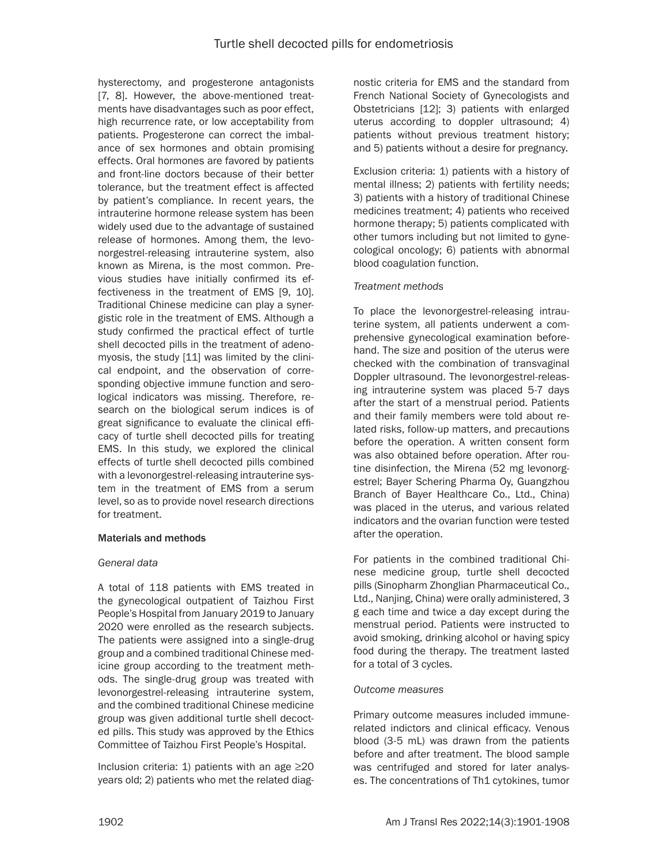hysterectomy, and progesterone antagonists [7, 8]. However, the above-mentioned treatments have disadvantages such as poor effect, high recurrence rate, or low acceptability from patients. Progesterone can correct the imbalance of sex hormones and obtain promising effects. Oral hormones are favored by patients and front-line doctors because of their better tolerance, but the treatment effect is affected by patient's compliance. In recent years, the intrauterine hormone release system has been widely used due to the advantage of sustained release of hormones. Among them, the levonorgestrel-releasing intrauterine system, also known as Mirena, is the most common. Previous studies have initially confirmed its effectiveness in the treatment of EMS [9, 10]. Traditional Chinese medicine can play a synergistic role in the treatment of EMS. Although a study confirmed the practical effect of turtle shell decocted pills in the treatment of adenomyosis, the study [11] was limited by the clinical endpoint, and the observation of corresponding objective immune function and serological indicators was missing. Therefore, research on the biological serum indices is of great significance to evaluate the clinical efficacy of turtle shell decocted pills for treating EMS. In this study, we explored the clinical effects of turtle shell decocted pills combined with a levonorgestrel-releasing intrauterine system in the treatment of EMS from a serum level, so as to provide novel research directions for treatment.

## Materials and methods

## *General data*

A total of 118 patients with EMS treated in the gynecological outpatient of Taizhou First People's Hospital from January 2019 to January 2020 were enrolled as the research subjects. The patients were assigned into a single-drug group and a combined traditional Chinese medicine group according to the treatment methods. The single-drug group was treated with levonorgestrel-releasing intrauterine system, and the combined traditional Chinese medicine group was given additional turtle shell decocted pills. This study was approved by the Ethics Committee of Taizhou First People's Hospital.

Inclusion criteria: 1) patients with an age ≥20 years old; 2) patients who met the related diagnostic criteria for EMS and the standard from French National Society of Gynecologists and Obstetricians [12]; 3) patients with enlarged uterus according to doppler ultrasound; 4) patients without previous treatment history; and 5) patients without a desire for pregnancy.

Exclusion criteria: 1) patients with a history of mental illness; 2) patients with fertility needs; 3) patients with a history of traditional Chinese medicines treatment; 4) patients who received hormone therapy; 5) patients complicated with other tumors including but not limited to gynecological oncology; 6) patients with abnormal blood coagulation function.

## *Treatment methods*

To place the levonorgestrel-releasing intrauterine system, all patients underwent a comprehensive gynecological examination beforehand. The size and position of the uterus were checked with the combination of transvaginal Doppler ultrasound. The levonorgestrel-releasing intrauterine system was placed 5-7 days after the start of a menstrual period. Patients and their family members were told about related risks, follow-up matters, and precautions before the operation. A written consent form was also obtained before operation. After routine disinfection, the Mirena (52 mg levonorgestrel; Bayer Schering Pharma Oy, Guangzhou Branch of Bayer Healthcare Co., Ltd., China) was placed in the uterus, and various related indicators and the ovarian function were tested after the operation.

For patients in the combined traditional Chinese medicine group, turtle shell decocted pills (Sinopharm Zhonglian Pharmaceutical Co., Ltd., Nanjing, China) were orally administered, 3 g each time and twice a day except during the menstrual period. Patients were instructed to avoid smoking, drinking alcohol or having spicy food during the therapy. The treatment lasted for a total of 3 cycles.

## *Outcome measures*

Primary outcome measures included immunerelated indictors and clinical efficacy. Venous blood (3-5 mL) was drawn from the patients before and after treatment. The blood sample was centrifuged and stored for later analyses. The concentrations of Th1 cytokines, tumor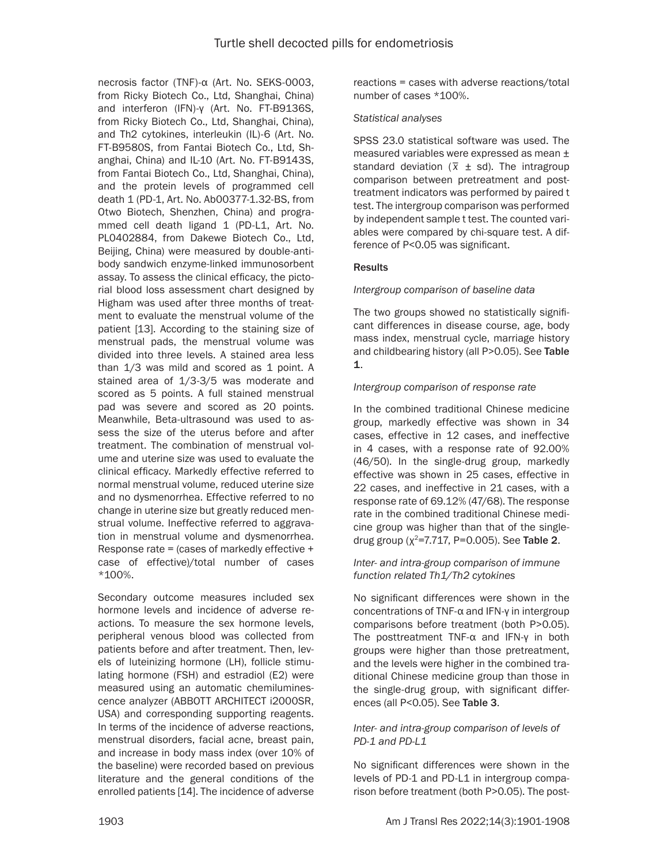necrosis factor (TNF)-α (Art. No. SEKS-0003, from Ricky Biotech Co., Ltd, Shanghai, China) and interferon (IFN)-γ (Art. No. FT-B9136S, from Ricky Biotech Co., Ltd, Shanghai, China), and Th2 cytokines, interleukin (IL)-6 (Art. No. FT-B9580S, from Fantai Biotech Co., Ltd, Shanghai, China) and IL-10 (Art. No. FT-B9143S, from Fantai Biotech Co., Ltd, Shanghai, China), and the protein levels of programmed cell death 1 (PD-1, Art. No. Ab00377-1.32-BS, from Otwo Biotech, Shenzhen, China) and programmed cell death ligand 1 (PD-L1, Art. No. PL0402884, from Dakewe Biotech Co., Ltd, Beijing, China) were measured by double-antibody sandwich enzyme-linked immunosorbent assay. To assess the clinical efficacy, the pictorial blood loss assessment chart designed by Higham was used after three months of treatment to evaluate the menstrual volume of the patient [13]. According to the staining size of menstrual pads, the menstrual volume was divided into three levels. A stained area less than 1/3 was mild and scored as 1 point. A stained area of 1/3-3/5 was moderate and scored as 5 points. A full stained menstrual pad was severe and scored as 20 points. Meanwhile, Beta-ultrasound was used to assess the size of the uterus before and after treatment. The combination of menstrual volume and uterine size was used to evaluate the clinical efficacy. Markedly effective referred to normal menstrual volume, reduced uterine size and no dysmenorrhea. Effective referred to no change in uterine size but greatly reduced menstrual volume. Ineffective referred to aggravation in menstrual volume and dysmenorrhea. Response rate = (cases of markedly effective + case of effective)/total number of cases \*100%.

Secondary outcome measures included sex hormone levels and incidence of adverse reactions. To measure the sex hormone levels, peripheral venous blood was collected from patients before and after treatment. Then, levels of luteinizing hormone (LH), follicle stimulating hormone (FSH) and estradiol (E2) were measured using an automatic chemiluminescence analyzer (ABBOTT ARCHITECT i2000SR, USA) and corresponding supporting reagents. In terms of the incidence of adverse reactions, menstrual disorders, facial acne, breast pain, and increase in body mass index (over 10% of the baseline) were recorded based on previous literature and the general conditions of the enrolled patients [14]. The incidence of adverse

reactions = cases with adverse reactions/total number of cases \*100%.

## *Statistical analyses*

SPSS 23.0 statistical software was used. The measured variables were expressed as mean ±  $\frac{1}{2}$  standard deviation ( $\overline{x}$  ± sd). The intragroup comparison between pretreatment and posttreatment indicators was performed by paired t test. The intergroup comparison was performed by independent sample t test. The counted variables were compared by chi-square test. A difference of P<0.05 was significant.

# **Results**

## *Intergroup comparison of baseline data*

The two groups showed no statistically significant differences in disease course, age, body mass index, menstrual cycle, marriage history and childbearing history (all P>0.05). See Table 1.

## *Intergroup comparison of response rate*

In the combined traditional Chinese medicine group, markedly effective was shown in 34 cases, effective in 12 cases, and ineffective in 4 cases, with a response rate of 92.00% (46/50). In the single-drug group, markedly effective was shown in 25 cases, effective in 22 cases, and ineffective in 21 cases, with a response rate of 69.12% (47/68). The response rate in the combined traditional Chinese medicine group was higher than that of the singledrug group ( $\chi^2$ =7.717, P=0.005). See Table 2.

#### *Inter- and intra-group comparison of immune function related Th1/Th2 cytokines*

No significant differences were shown in the concentrations of TNF-α and IFN-γ in intergroup comparisons before treatment (both P>0.05). The posttreatment TNF-α and IFN-γ in both groups were higher than those pretreatment, and the levels were higher in the combined traditional Chinese medicine group than those in the single-drug group, with significant differences (all P<0.05). See Table 3.

# *Inter- and intra-group comparison of levels of PD-1 and PD-L1*

No significant differences were shown in the levels of PD-1 and PD-L1 in intergroup comparison before treatment (both P>0.05). The post-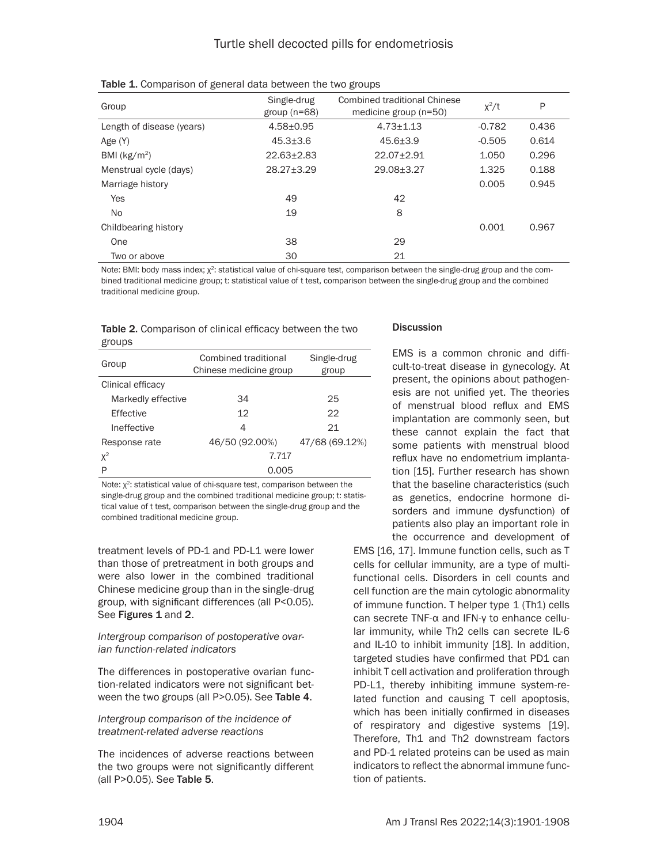| Group                     | Single-drug<br>group $(n=68)$ | <b>Combined traditional Chinese</b><br>medicine group (n=50) | $x^2/t$  | P     |
|---------------------------|-------------------------------|--------------------------------------------------------------|----------|-------|
| Length of disease (years) | $4.58 + 0.95$                 | $4.73 \pm 1.13$                                              | $-0.782$ | 0.436 |
| Age (Y)                   | $45.3 + 3.6$                  | $45.6 + 3.9$                                                 | $-0.505$ | 0.614 |
| BMI ( $kg/m2$ )           | $22.63 + 2.83$                | $22.07 + 2.91$                                               | 1.050    | 0.296 |
| Menstrual cycle (days)    | $28.27 + 3.29$                | 29.08±3.27                                                   | 1.325    | 0.188 |
| Marriage history          |                               |                                                              | 0.005    | 0.945 |
| <b>Yes</b>                | 49                            | 42                                                           |          |       |
| No.                       | 19                            | 8                                                            |          |       |
| Childbearing history      |                               |                                                              | 0.001    | 0.967 |
| One                       | 38                            | 29                                                           |          |       |
| Two or above              | 30                            | 21                                                           |          |       |

| Table 1. Comparison of general data between the two groups |  |
|------------------------------------------------------------|--|
|------------------------------------------------------------|--|

Note: BMI: body mass index;  $\chi^2$ : statistical value of chi-square test, comparison between the single-drug group and the combined traditional medicine group; t: statistical value of t test, comparison between the single-drug group and the combined traditional medicine group.

|        | Table 2. Comparison of clinical efficacy between the two |
|--------|----------------------------------------------------------|
| groups |                                                          |

| Group              | Combined traditional<br>Chinese medicine group | Single-drug<br>group |  |
|--------------------|------------------------------------------------|----------------------|--|
| Clinical efficacy  |                                                |                      |  |
| Markedly effective | 34                                             | 25                   |  |
| Effective          | 12                                             | 22                   |  |
| Ineffective        | 4                                              | 21                   |  |
| Response rate      | 46/50 (92.00%)                                 | 47/68 (69.12%)       |  |
| $X^2$              | 7.717                                          |                      |  |
| P                  | 0.005                                          |                      |  |

Note:  $\chi^2$ : statistical value of chi-square test, comparison between the single-drug group and the combined traditional medicine group; t: statistical value of t test, comparison between the single-drug group and the combined traditional medicine group.

treatment levels of PD-1 and PD-L1 were lower than those of pretreatment in both groups and were also lower in the combined traditional Chinese medicine group than in the single-drug group, with significant differences (all P<0.05). See Figures 1 and 2.

#### *Intergroup comparison of postoperative ovarian function-related indicators*

The differences in postoperative ovarian function-related indicators were not significant between the two groups (all P>0.05). See Table 4.

*Intergroup comparison of the incidence of treatment-related adverse reactions*

The incidences of adverse reactions between the two groups were not significantly different (all P>0.05). See Table 5.

## **Discussion**

EMS is a common chronic and difficult-to-treat disease in gynecology. At present, the opinions about pathogenesis are not unified yet. The theories of menstrual blood reflux and EMS implantation are commonly seen, but these cannot explain the fact that some patients with menstrual blood reflux have no endometrium implantation [15]. Further research has shown that the baseline characteristics (such as genetics, endocrine hormone disorders and immune dysfunction) of patients also play an important role in the occurrence and development of

EMS [16, 17]. Immune function cells, such as T cells for cellular immunity, are a type of multifunctional cells. Disorders in cell counts and cell function are the main cytologic abnormality of immune function. T helper type 1 (Th1) cells can secrete TNF-α and IFN-γ to enhance cellular immunity, while Th2 cells can secrete IL-6 and IL-10 to inhibit immunity [18]. In addition, targeted studies have confirmed that PD1 can inhibit T cell activation and proliferation through PD-L1, thereby inhibiting immune system-related function and causing T cell apoptosis, which has been initially confirmed in diseases of respiratory and digestive systems [19]. Therefore, Th1 and Th2 downstream factors and PD-1 related proteins can be used as main indicators to reflect the abnormal immune function of patients.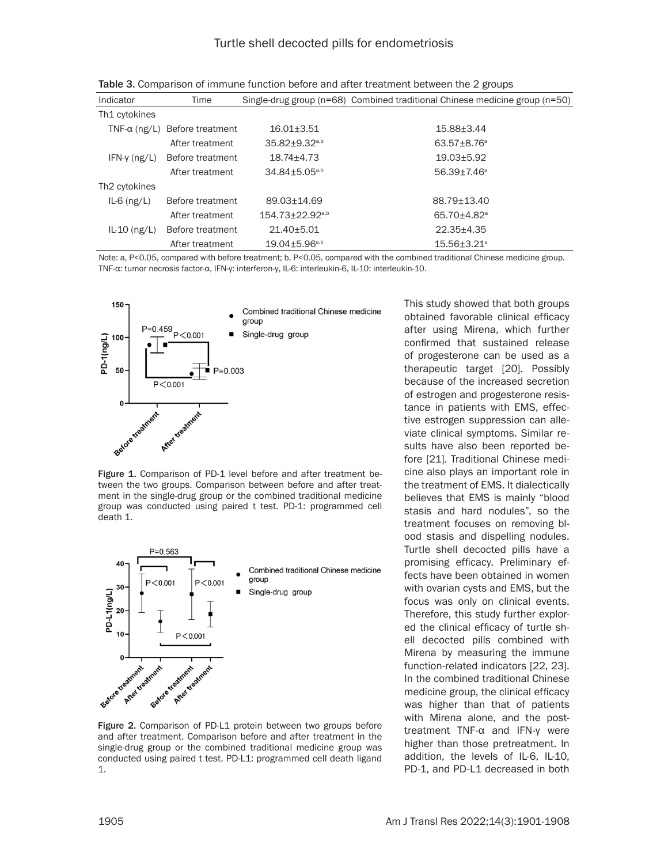| Indicator                 | Time                                 |                                   | Single-drug group ( $n=68$ ) Combined traditional Chinese medicine group ( $n=50$ ) |
|---------------------------|--------------------------------------|-----------------------------------|-------------------------------------------------------------------------------------|
| Th1 cytokines             |                                      |                                   |                                                                                     |
|                           | $TNF-\alpha$ (ng/L) Before treatment | $16.01 \pm 3.51$                  | $15.88 \pm 3.44$                                                                    |
|                           | After treatment                      | $35.82 \pm 9.32$ <sup>a,b</sup>   | $63.57 + 8.76^a$                                                                    |
| $IFN-y$ (ng/L)            | Before treatment                     | $18.74 \pm 4.73$                  | $19.03 + 5.92$                                                                      |
|                           | After treatment                      | 34.84±5.05 <sup>a,b</sup>         | $56.39 + 7.46^a$                                                                    |
| Th <sub>2</sub> cytokines |                                      |                                   |                                                                                     |
| $IL-6$ (ng/L)             | Before treatment                     | 89.03+14.69                       | 88.79+13.40                                                                         |
|                           | After treatment                      | $154.73 \pm 22.92$ <sup>a,b</sup> | 65.70±4.82 <sup>a</sup>                                                             |
| $IL-10$ (ng/L)            | Before treatment                     | $21.40 + 5.01$                    | $22.35 \pm 4.35$                                                                    |
|                           | After treatment                      | $19.04 \pm 5.96$ <sub>a,b</sub>   | $15.56 \pm 3.21^{\circ}$                                                            |

Table 3. Comparison of immune function before and after treatment between the 2 groups

Note: a, P<0.05, compared with before treatment; b, P<0.05, compared with the combined traditional Chinese medicine group. TNF-α: tumor necrosis factor-α, IFN-γ: interferon-γ, IL-6: interleukin-6, IL-10: interleukin-10.



Figure 1. Comparison of PD-1 level before and after treatment between the two groups. Comparison between before and after treatment in the single-drug group or the combined traditional medicine group was conducted using paired t test. PD-1: programmed cell death 1.



Figure 2. Comparison of PD-L1 protein between two groups before and after treatment. Comparison before and after treatment in the single-drug group or the combined traditional medicine group was conducted using paired t test. PD-L1: programmed cell death ligand 1.

This study showed that both groups obtained favorable clinical efficacy after using Mirena, which further confirmed that sustained release of progesterone can be used as a therapeutic target [20]. Possibly because of the increased secretion of estrogen and progesterone resistance in patients with EMS, effective estrogen suppression can alleviate clinical symptoms. Similar results have also been reported before [21]. Traditional Chinese medicine also plays an important role in the treatment of EMS. It dialectically believes that EMS is mainly "blood stasis and hard nodules", so the treatment focuses on removing blood stasis and dispelling nodules. Turtle shell decocted pills have a promising efficacy. Preliminary effects have been obtained in women with ovarian cysts and EMS, but the focus was only on clinical events. Therefore, this study further explored the clinical efficacy of turtle shell decocted pills combined with Mirena by measuring the immune function-related indicators [22, 23]. In the combined traditional Chinese medicine group, the clinical efficacy was higher than that of patients with Mirena alone, and the posttreatment TNF-α and IFN-γ were higher than those pretreatment. In addition, the levels of IL-6, IL-10, PD-1, and PD-L1 decreased in both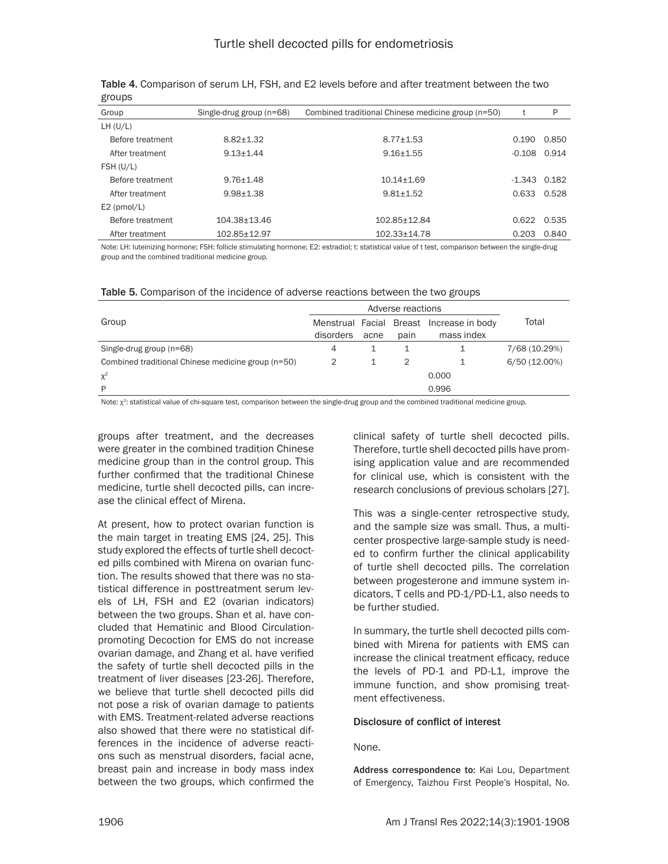| Group            | Single-drug group (n=68) | Combined traditional Chinese medicine group (n=50) |                | P             |
|------------------|--------------------------|----------------------------------------------------|----------------|---------------|
| LH (U/L)         |                          |                                                    |                |               |
| Before treatment | $8.82 + 1.32$            | $8.77 + 1.53$                                      | 0.190          | 0.850         |
| After treatment  | $9.13 + 1.44$            | $9.16 + 1.55$                                      | $-0.108$       | 0.914         |
| FSH (U/L)        |                          |                                                    |                |               |
| Before treatment | $9.76 + 1.48$            | $10.14 + 1.69$                                     | $-1.343$ 0.182 |               |
| After treatment  | $9.98 + 1.38$            | $9.81 + 1.52$                                      | 0.633          | 0.528         |
| $E2$ (pmol/L)    |                          |                                                    |                |               |
| Before treatment | 104.38+13.46             | 102.85+12.84                                       |                | $0.622$ 0.535 |
| After treatment  | 102.85±12.97             | $102.33 \pm 14.78$                                 | 0.203          | 0.840         |

Table 4. Comparison of serum LH, FSH, and E2 levels before and after treatment between the two groups

Note: LH: luteinizing hormone; FSH: follicle stimulating hormone; E2: estradiol; t: statistical value of t test, comparison between the single-drug group and the combined traditional medicine group.

Table 5. Comparison of the incidence of adverse reactions between the two groups

|                                                    | Adverse reactions |      |      |                                          |               |
|----------------------------------------------------|-------------------|------|------|------------------------------------------|---------------|
| Group                                              |                   |      |      | Menstrual Facial Breast Increase in body | Total         |
|                                                    | disorders         | acne | pain | mass index                               |               |
| Single-drug group (n=68)                           | 4                 |      |      |                                          | 7/68 (10.29%) |
| Combined traditional Chinese medicine group (n=50) |                   |      |      |                                          | 6/50 (12.00%) |
| $X^2$                                              |                   |      |      | 0.000                                    |               |
| D                                                  |                   |      |      | 0.996                                    |               |

Note: χ<sup>2</sup>: statistical value of chi-square test, comparison between the single-drug group and the combined traditional medicine group.

groups after treatment, and the decreases were greater in the combined tradition Chinese medicine group than in the control group. This further confirmed that the traditional Chinese medicine, turtle shell decocted pills, can increase the clinical effect of Mirena.

At present, how to protect ovarian function is the main target in treating EMS [24, 25]. This study explored the effects of turtle shell decocted pills combined with Mirena on ovarian function. The results showed that there was no statistical difference in posttreatment serum levels of LH, FSH and E2 (ovarian indicators) between the two groups. Shan et al. have concluded that Hematinic and Blood Circulationpromoting Decoction for EMS do not increase ovarian damage, and Zhang et al. have verified the safety of turtle shell decocted pills in the treatment of liver diseases [23-26]. Therefore, we believe that turtle shell decocted pills did not pose a risk of ovarian damage to patients with EMS. Treatment-related adverse reactions also showed that there were no statistical differences in the incidence of adverse reactions such as menstrual disorders, facial acne, breast pain and increase in body mass index between the two groups, which confirmed the

clinical safety of turtle shell decocted pills. Therefore, turtle shell decocted pills have promising application value and are recommended for clinical use, which is consistent with the research conclusions of previous scholars [27].

This was a single-center retrospective study, and the sample size was small. Thus, a multicenter prospective large-sample study is needed to confirm further the clinical applicability of turtle shell decocted pills. The correlation between progesterone and immune system indicators, T cells and PD-1/PD-L1, also needs to be further studied.

In summary, the turtle shell decocted pills combined with Mirena for patients with EMS can increase the clinical treatment efficacy, reduce the levels of PD-1 and PD-L1, improve the immune function, and show promising treatment effectiveness.

## Disclosure of conflict of interest

None.

Address correspondence to: Kai Lou, Department of Emergency, Taizhou First People's Hospital, No.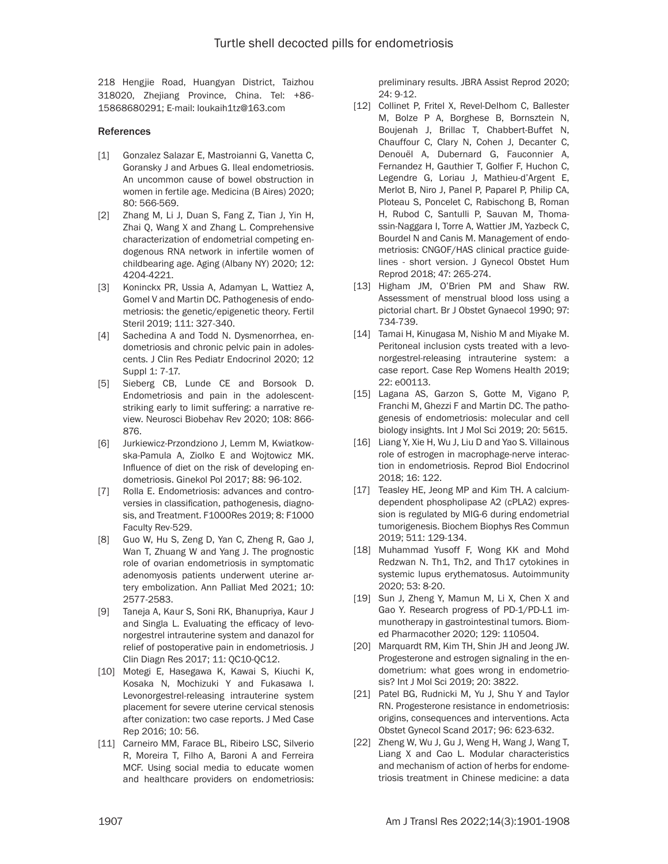218 Hengjie Road, Huangyan District, Taizhou 318020, Zhejiang Province, China. Tel: +86- 15868680291; E-mail: loukaih1tz@163.com

#### References

- [1] Gonzalez Salazar E, Mastroianni G, Vanetta C, Goransky J and Arbues G. Ileal endometriosis. An uncommon cause of bowel obstruction in women in fertile age. Medicina (B Aires) 2020; 80: 566-569.
- [2] Zhang M, Li J, Duan S, Fang Z, Tian J, Yin H, Zhai Q, Wang X and Zhang L. Comprehensive characterization of endometrial competing endogenous RNA network in infertile women of childbearing age. Aging (Albany NY) 2020; 12: 4204-4221.
- [3] Koninckx PR, Ussia A, Adamyan L, Wattiez A, Gomel V and Martin DC. Pathogenesis of endometriosis: the genetic/epigenetic theory. Fertil Steril 2019; 111: 327-340.
- [4] Sachedina A and Todd N. Dysmenorrhea, endometriosis and chronic pelvic pain in adolescents. J Clin Res Pediatr Endocrinol 2020; 12 Suppl 1: 7-17.
- [5] Sieberg CB, Lunde CE and Borsook D. Endometriosis and pain in the adolescentstriking early to limit suffering: a narrative review. Neurosci Biobehav Rev 2020; 108: 866- 876.
- [6] Jurkiewicz-Przondziono J, Lemm M, Kwiatkowska-Pamula A, Ziolko E and Wojtowicz MK. Influence of diet on the risk of developing endometriosis. Ginekol Pol 2017; 88: 96-102.
- [7] Rolla E. Endometriosis: advances and controversies in classification, pathogenesis, diagnosis, and Treatment. F1000Res 2019; 8: F1000 Faculty Rev-529.
- [8] Guo W, Hu S, Zeng D, Yan C, Zheng R, Gao J, Wan T, Zhuang W and Yang J. The prognostic role of ovarian endometriosis in symptomatic adenomyosis patients underwent uterine artery embolization. Ann Palliat Med 2021; 10: 2577-2583.
- [9] Taneja A, Kaur S, Soni RK, Bhanupriya, Kaur J and Singla L. Evaluating the efficacy of levonorgestrel intrauterine system and danazol for relief of postoperative pain in endometriosis. J Clin Diagn Res 2017; 11: QC10-QC12.
- [10] Motegi E, Hasegawa K, Kawai S, Kiuchi K, Kosaka N, Mochizuki Y and Fukasawa I. Levonorgestrel-releasing intrauterine system placement for severe uterine cervical stenosis after conization: two case reports. J Med Case Rep 2016; 10: 56.
- [11] Carneiro MM, Farace BL, Ribeiro LSC, Silverio R, Moreira T, Filho A, Baroni A and Ferreira MCF. Using social media to educate women and healthcare providers on endometriosis:

preliminary results. JBRA Assist Reprod 2020; 24: 9-12.

- [12] Collinet P, Fritel X, Revel-Delhom C, Ballester M, Bolze P A, Borghese B, Bornsztein N, Boujenah J, Brillac T, Chabbert-Buffet N, Chauffour C, Clary N, Cohen J, Decanter C, Denouël A, Dubernard G, Fauconnier A, Fernandez H, Gauthier T, Golfier F, Huchon C, Legendre G, Loriau J, Mathieu-d'Argent E, Merlot B, Niro J, Panel P, Paparel P, Philip CA, Ploteau S, Poncelet C, Rabischong B, Roman H, Rubod C, Santulli P, Sauvan M, Thomassin-Naggara I, Torre A, Wattier JM, Yazbeck C, Bourdel N and Canis M. Management of endometriosis: CNGOF/HAS clinical practice guidelines - short version. J Gynecol Obstet Hum Reprod 2018; 47: 265-274.
- [13] Higham JM, O'Brien PM and Shaw RW. Assessment of menstrual blood loss using a pictorial chart. Br J Obstet Gynaecol 1990; 97: 734-739.
- [14] Tamai H, Kinugasa M, Nishio M and Miyake M. Peritoneal inclusion cysts treated with a levonorgestrel-releasing intrauterine system: a case report. Case Rep Womens Health 2019; 22: e00113.
- [15] Lagana AS, Garzon S, Gotte M, Vigano P, Franchi M, Ghezzi F and Martin DC. The pathogenesis of endometriosis: molecular and cell biology insights. Int J Mol Sci 2019; 20: 5615.
- [16] Liang Y, Xie H, Wu J, Liu D and Yao S. Villainous role of estrogen in macrophage-nerve interaction in endometriosis. Reprod Biol Endocrinol 2018; 16: 122.
- [17] Teasley HE, Jeong MP and Kim TH. A calciumdependent phospholipase A2 (cPLA2) expression is regulated by MIG-6 during endometrial tumorigenesis. Biochem Biophys Res Commun 2019; 511: 129-134.
- [18] Muhammad Yusoff F, Wong KK and Mohd Redzwan N. Th1, Th2, and Th17 cytokines in systemic lupus erythematosus. Autoimmunity 2020; 53: 8-20.
- [19] Sun J, Zheng Y, Mamun M, Li X, Chen X and Gao Y. Research progress of PD-1/PD-L1 immunotherapy in gastrointestinal tumors. Biomed Pharmacother 2020; 129: 110504.
- [20] Marquardt RM, Kim TH, Shin JH and Jeong JW. Progesterone and estrogen signaling in the endometrium: what goes wrong in endometriosis? Int J Mol Sci 2019; 20: 3822.
- [21] Patel BG, Rudnicki M, Yu J, Shu Y and Taylor RN. Progesterone resistance in endometriosis: origins, consequences and interventions. Acta Obstet Gynecol Scand 2017; 96: 623-632.
- [22] Zheng W, Wu J, Gu J, Weng H, Wang J, Wang T, Liang X and Cao L. Modular characteristics and mechanism of action of herbs for endometriosis treatment in Chinese medicine: a data